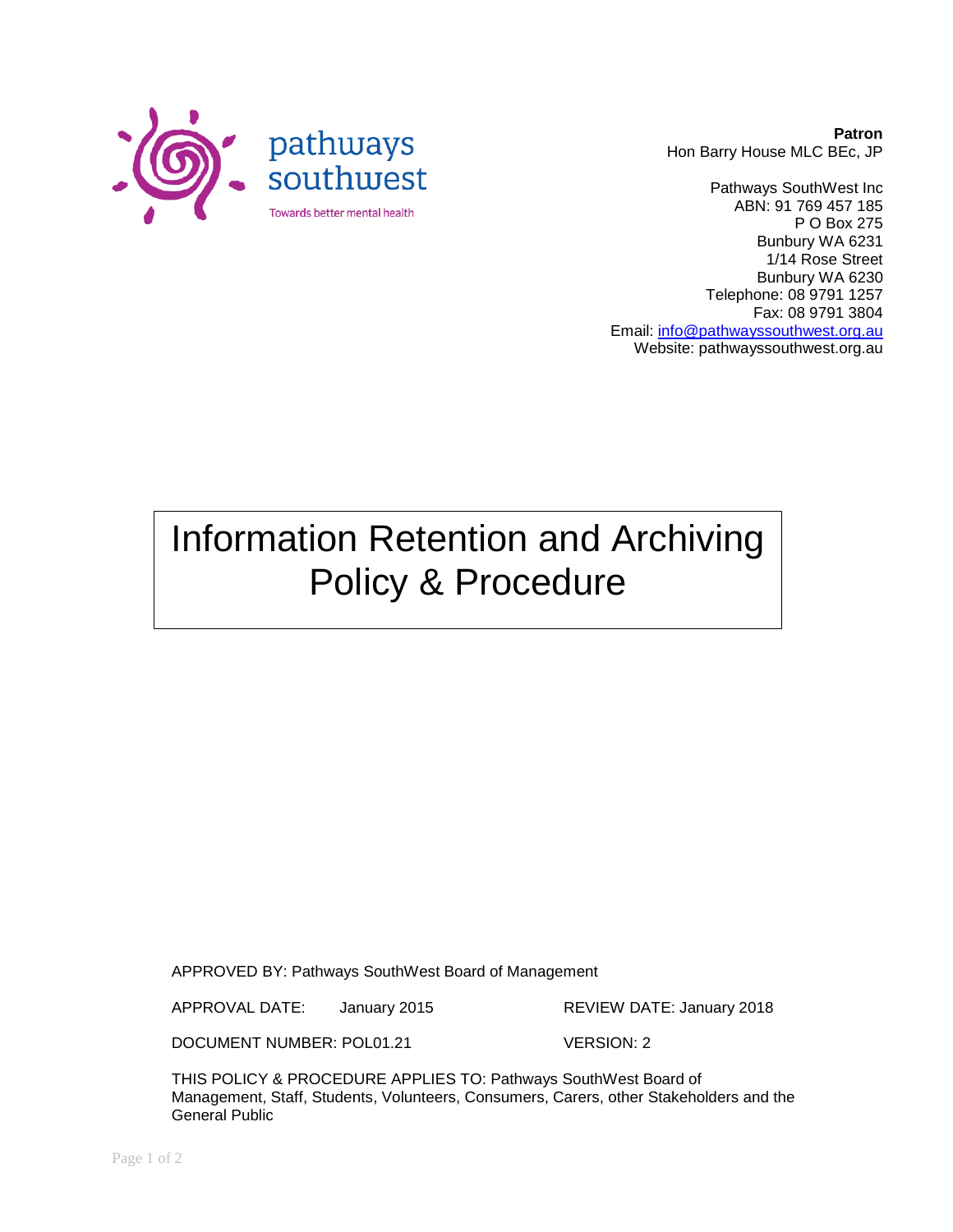

**Patron** Hon Barry House MLC BEc, JP

Pathways SouthWest Inc ABN: 91 769 457 185 P O Box 275 Bunbury WA 6231 1/14 Rose Street Bunbury WA 6230 Telephone: 08 9791 1257 Fax: 08 9791 3804 Email: [info@pathwayssouthwest.org.au](mailto:info@pathwayssouthwest.org.au) Website: pathwayssouthwest.org.au

# Information Retention and Archiving Policy & Procedure

APPROVED BY: Pathways SouthWest Board of Management

APPROVAL DATE: January 2015 REVIEW DATE: January 2018

DOCUMENT NUMBER: POL01.21 VERSION: 2

THIS POLICY & PROCEDURE APPLIES TO: Pathways SouthWest Board of Management, Staff, Students, Volunteers, Consumers, Carers, other Stakeholders and the General Public